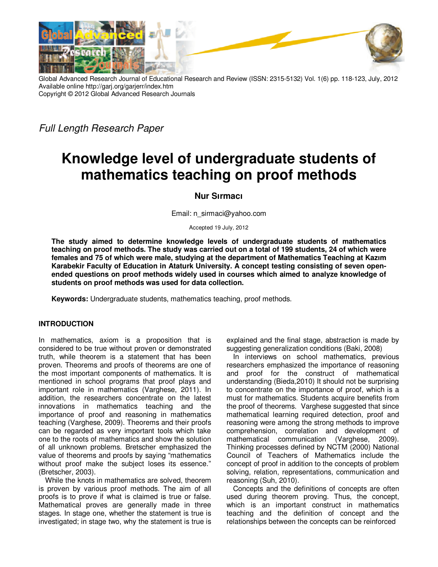

Global Advanced Research Journal of Educational Research and Review (ISSN: 2315-5132) Vol. 1(6) pp. 118-123, July, 2012 Available online http://garj.org/garjerr/index.htm Copyright © 2012 Global Advanced Research Journals

Full Length Research Paper

# **Knowledge level of undergraduate students of mathematics teaching on proof methods**

## **Nur Sırmacı**

Email: n\_sirmaci@yahoo.com

Accepted 19 July, 2012

**The study aimed to determine knowledge levels of undergraduate students of mathematics teaching on proof methods. The study was carried out on a total of 199 students, 24 of which were females and 75 of which were male, studying at the department of Mathematics Teaching at Kazım Karabekir Faculty of Education in Ataturk University. A concept testing consisting of seven openended questions on proof methods widely used in courses which aimed to analyze knowledge of students on proof methods was used for data collection.** 

**Keywords:** Undergraduate students, mathematics teaching, proof methods.

## **INTRODUCTION**

In mathematics, axiom is a proposition that is considered to be true without proven or demonstrated truth, while theorem is a statement that has been proven. Theorems and proofs of theorems are one of the most important components of mathematics. It is mentioned in school programs that proof plays and important role in mathematics (Varghese, 2011). In addition, the researchers concentrate on the latest innovations in mathematics teaching and the importance of proof and reasoning in mathematics teaching (Varghese, 2009). Theorems and their proofs can be regarded as very important tools which take one to the roots of mathematics and show the solution of all unknown problems. Bretscher emphasized the value of theorems and proofs by saying "mathematics without proof make the subject loses its essence." (Bretscher, 2003).

While the knots in mathematics are solved, theorem is proven by various proof methods. The aim of all proofs is to prove if what is claimed is true or false. Mathematical proves are generally made in three stages. In stage one, whether the statement is true is investigated; in stage two, why the statement is true is explained and the final stage, abstraction is made by suggesting generalization conditions (Baki, 2008)

In interviews on school mathematics, previous researchers emphasized the importance of reasoning and proof for the construct of mathematical understanding (Bieda,2010) It should not be surprising to concentrate on the importance of proof, which is a must for mathematics. Students acquire benefits from the proof of theorems. Varghese suggested that since mathematical learning required detection, proof and reasoning were among the strong methods to improve comprehension, correlation and development of mathematical communication (Varghese, 2009). Thinking processes defined by NCTM (2000) National Council of Teachers of Mathematics include the concept of proof in addition to the concepts of problem solving, relation, representations, communication and reasoning (Suh, 2010).

Concepts and the definitions of concepts are often used during theorem proving. Thus, the concept, which is an important construct in mathematics teaching and the definition of concept and the relationships between the concepts can be reinforced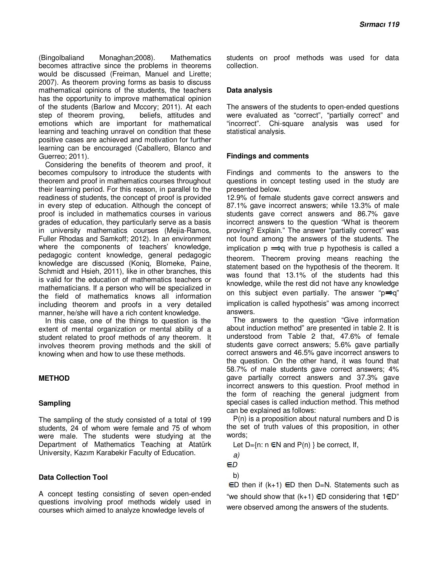(Bingolbaliand Monaghan;2008). Mathematics becomes attractive since the problems in theorems would be discussed (Freiman, Manuel and Lirette; 2007). As theorem proving forms as basis to discuss mathematical opinions of the students, the teachers has the opportunity to improve mathematical opinion of the students (Barlow and Mccory; 2011). At each step of theorem proving, beliefs, attitudes and emotions which are important for mathematical learning and teaching unravel on condition that these positive cases are achieved and motivation for further learning can be encouraged (Caballero, Blanco and Guerreo; 2011).

Considering the benefits of theorem and proof, it becomes compulsory to introduce the students with theorem and proof in mathematics courses throughout their learning period. For this reason, in parallel to the readiness of students, the concept of proof is provided in every step of education. Although the concept of proof is included in mathematics courses in various grades of education, they particularly serve as a basis in university mathematics courses (Mejia-Ramos, Fuller Rhodas and Samkoff; 2012). In an environment where the components of teachers' knowledge, pedagogic content knowledge, general pedagogic knowledge are discussed (Koniq, Blomeke, Paine, Schmidt and Hsieh, 2011), like in other branches, this is valid for the education of mathematics teachers or mathematicians. If a person who will be specialized in the field of mathematics knows all information including theorem and proofs in a very detailed manner, he/she will have a rich content knowledge.

In this case, one of the things to question is the extent of mental organization or mental ability of a student related to proof methods of any theorem. It involves theorem proving methods and the skill of knowing when and how to use these methods.

## **METHOD**

## **Sampling**

The sampling of the study consisted of a total of 199 students, 24 of whom were female and 75 of whom were male. The students were studying at the Department of Mathematics Teaching at Atatürk University, Kazım Karabekir Faculty of Education.

## **Data Collection Tool**

A concept testing consisting of seven open-ended questions involving proof methods widely used in courses which aimed to analyze knowledge levels of

students on proof methods was used for data collection.

## **Data analysis**

The answers of the students to open-ended questions were evaluated as "correct", "partially correct" and "incorrect". Chi-square analysis was used for statistical analysis.

## **Findings and comments**

Findings and comments to the answers to the questions in concept testing used in the study are presented below.

12.9% of female students gave correct answers and 87.1% gave incorrect answers; while 13.3% of male students gave correct answers and 86.7% gave incorrect answers to the question "What is theorem proving? Explain." The answer "partially correct" was not found among the answers of the students. The implication  $p \implies q$  with true p hypothesis is called a theorem. Theorem proving means reaching the statement based on the hypothesis of the theorem. It was found that 13.1% of the students had this knowledge, while the rest did not have any knowledge on this subject even partially. The answer " $p \Rightarrow q$ " implication is called hypothesis" was among incorrect answers.

The answers to the question "Give information about induction method" are presented in table 2. It is understood from Table 2 that, 47.6% of female students gave correct answers; 5.6% gave partially correct answers and 46.5% gave incorrect answers to the question. On the other hand, it was found that 58.7% of male students gave correct answers; 4% gave partially correct answers and 37.3% gave incorrect answers to this question. Proof method in the form of reaching the general judgment from special cases is called induction method. This method can be explained as follows:

P(n) is a proposition about natural numbers and D is the set of truth values of this proposition, in other words;

Let  $D=\{n: n \in \mathbb{N} \text{ and } P(n)\}$  be correct, If,

$$
\mathsf{a})
$$

**ED** 

b)

 $\epsilon$ D then if (k+1)  $\epsilon$ D then D=N. Statements such as "we should show that  $(k+1)$  ED considering that  $1 \in D$ " were observed among the answers of the students.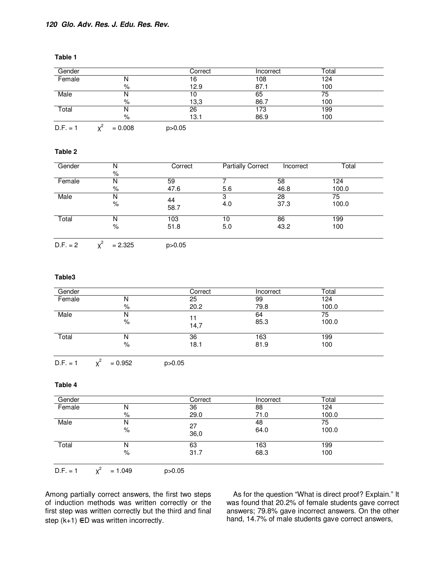| Gender     |           | Correct  | Incorrect | Total |  |
|------------|-----------|----------|-----------|-------|--|
| Female     | N         | 16       | 108       | 124   |  |
|            | $\%$      | 12.9     | 87.1      | 100   |  |
| Male       | N         | 10       | 65        | 75    |  |
|            | %         | 13,3     | 86.7      | 100   |  |
| Total      | N         | 26       | 173       | 199   |  |
|            | %         | 13.1     | 86.9      | 100   |  |
| $D.F. = 1$ | $= 0.008$ | p > 0.05 |           |       |  |

# **Table 1**

#### **Table 2**

| Gender     | N         | Correct    | <b>Partially Correct</b> | Incorrect | Total |  |
|------------|-----------|------------|--------------------------|-----------|-------|--|
|            | %         |            |                          |           |       |  |
| Female     | N         | 59         |                          | 58        | 124   |  |
|            | %         | 47.6       | 5.6                      | 46.8      | 100.0 |  |
| Male       | N         |            | 3                        | 28        | 75    |  |
|            | $\%$      | 44<br>58.7 | 4.0                      | 37.3      | 100.0 |  |
| Total      |           | 103        | 10                       | 86        | 199   |  |
|            | %         | 51.8       | 5.0                      | 43.2      | 100   |  |
| $D.F. = 2$ | $= 2.325$ | p > 0.05   |                          |           |       |  |

#### **Table3**

| Gender |        | Correct    | Incorrect   | Total       |  |
|--------|--------|------------|-------------|-------------|--|
| Female | N      | 25         | 99          | 124         |  |
|        | %      | 20.2       | 79.8        | 100.0       |  |
| Male   | N<br>% | 11<br>14,7 | 64<br>85.3  | 75<br>100.0 |  |
| Total  | N<br>% | 36<br>18.1 | 163<br>81.9 | 199<br>100  |  |

 $D.F. = 1$  $x^2$  $= 0.952$  p>0.05

#### **Table 4**

| Gender     |           | Correct    | Incorrect   | Total       |  |
|------------|-----------|------------|-------------|-------------|--|
| Female     | Ν         | 36         | 88          | 124         |  |
|            | %         | 29.0       | 71.0        | 100.0       |  |
| Male       | N<br>%    | 27<br>36,0 | 48<br>64.0  | 75<br>100.0 |  |
| Total      | N<br>%    | 63<br>31.7 | 163<br>68.3 | 199<br>100  |  |
| $D.F. = 1$ | $= 1.049$ | p > 0.05   |             |             |  |

Among partially correct answers, the first two steps of induction methods was written correctly or the first step was written correctly but the third and final step  $(k+1)$  ED was written incorrectly.

As for the question "What is direct proof? Explain." It was found that 20.2% of female students gave correct answers; 79.8% gave incorrect answers. On the other hand, 14.7% of male students gave correct answers,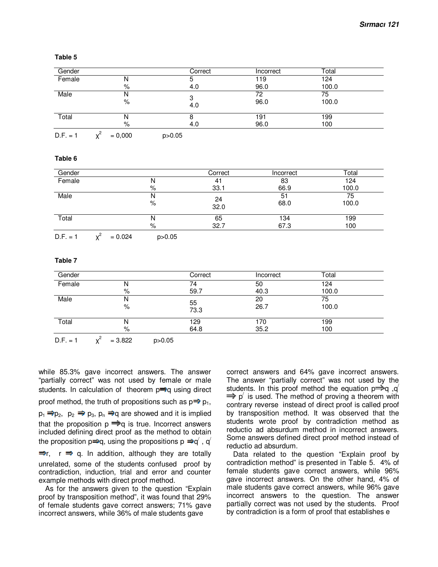| Gender     |           | Correct  | Incorrect   | Total       |  |
|------------|-----------|----------|-------------|-------------|--|
| Female     | N         |          | 119         | 124         |  |
|            | %         | 4.0      | 96.0        | 100.0       |  |
| Male       | N<br>%    | 4.0      | 72<br>96.0  | 75<br>100.0 |  |
| Total      | N<br>%    | 4.0      | 191<br>96.0 | 199<br>100  |  |
| $D.F. = 1$ | $= 0,000$ | p > 0.05 |             |             |  |

#### **Table 5**

#### **Table 6**

| Gender     |           |          | Correct        | Incorrect   | Total       |
|------------|-----------|----------|----------------|-------------|-------------|
| Female     |           | N        | 4 <sub>1</sub> | 83          | 124         |
|            |           | %        | 33.1           | 66.9        | 100.0       |
| Male       |           | N<br>%   | 24<br>32.0     | 51<br>68.0  | 75<br>100.0 |
| Total      |           | N<br>%   | 65<br>32.7     | 134<br>67.3 | 199<br>100  |
| $D.F. = 1$ | $= 0.024$ | p > 0.05 |                |             |             |

 $Y^{\mathsf{c}}$  $= 0.024$  p>0.05

### **Table 7**

| Gender |        | Correct     | Incorrect   | Total       |  |
|--------|--------|-------------|-------------|-------------|--|
| Female | IΝ     | 74          | 50          | 124         |  |
|        | ℅      | 59.7        | 40.3        | 100.0       |  |
| Male   | N<br>% | 55<br>73.3  | 20<br>26.7  | 75<br>100.0 |  |
| Total  | N<br>% | 129<br>64.8 | 170<br>35.2 | 199<br>100  |  |

 $D.F. = 1$  $Y^2$  $= 3.822$  p>0.05

while 85.3% gave incorrect answers. The answer "partially correct" was not used by female or male students. In calculation of theorem  $p \Rightarrow q$  using direct proof method, the truth of propositions such as  $p \Rightarrow p_1$ ,  $p_1 \Rightarrow p_2$ ,  $p_2 \Rightarrow p_3$ ,  $p_n \Rightarrow q$  are showed and it is implied that the proposition  $p \rightleftharpoons q$  is true. Incorrect answers included defining direct proof as the method to obtain the proposition p $\Rightarrow$ q, using the propositions p  $\Rightarrow$ q $^{\prime}$  , q $^{\prime}$  $\Rightarrow$  r,  $r \Rightarrow q$ . In addition, although they are totally unrelated, some of the students confused proof by contradiction, induction, trial and error and counter example methods with direct proof method.

As for the answers given to the question "Explain proof by transposition method", it was found that 29% of female students gave correct answers; 71% gave incorrect answers, while 36% of male students gave

correct answers and 64% gave incorrect answers. The answer "partially correct" was not used by the students. In this proof method the equation  $p \Rightarrow q$ , q'  $\Rightarrow$  p' is used. The method of proving a theorem with contrary reverse instead of direct proof is called proof by transposition method. It was observed that the students wrote proof by contradiction method as reductio ad absurdum method in incorrect answers. Some answers defined direct proof method instead of reductio ad absurdum.

Data related to the question "Explain proof by contradiction method" is presented in Table 5. 4% of female students gave correct answers, while 96% gave incorrect answers. On the other hand, 4% of male students gave correct answers, while 96% gave incorrect answers to the question. The answer partially correct was not used by the students. Proof by contradiction is a form of proof that establishes e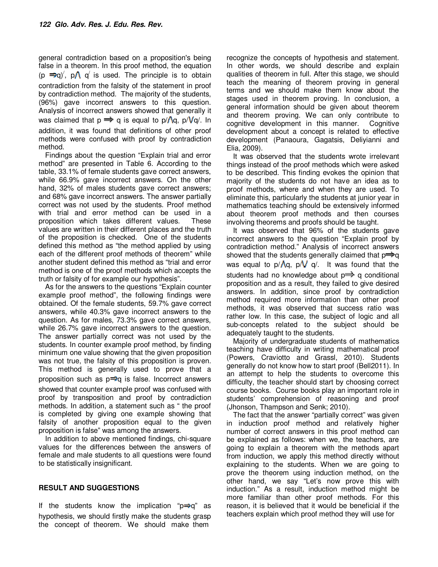general contradiction based on a proposition's being false in a theorem. In this proof method, the equation  $(p \Rightarrow q)'$ ,  $p \wedge q'$  is used. The principle is to obtain contradiction from the falsity of the statement in proof by contradiction method. The majority of the students, (96%) gave incorrect answers to this question. Analysis of incorrect answers showed that generally it was claimed that  $p \Rightarrow q$  is equal to  $p/\Lambda q$ ,  $p/\Lambda q$ . In addition, it was found that definitions of other proof methods were confused with proof by contradiction method.

Findings about the question "Explain trial and error method" are presented in Table 6. According to the table, 33.1% of female students gave correct answers, while 66.9% gave incorrect answers. On the other hand, 32% of males students gave correct answers; and 68% gave incorrect answers. The answer partially correct was not used by the students. Proof method with trial and error method can be used in a proposition which takes different values. These values are written in their different places and the truth of the proposition is checked. One of the students defined this method as "the method applied by using each of the different proof methods of theorem" while another student defined this method as "trial and error method is one of the proof methods which accepts the truth or falsity of for example our hypothesis".

As for the answers to the questions "Explain counter example proof method", the following findings were obtained. Of the female students, 59.7% gave correct answers, while 40.3% gave incorrect answers to the question. As for males, 73.3% gave correct answers, while 26.7% gave incorrect answers to the question. The answer partially correct was not used by the students. In counter example proof method, by finding minimum one value showing that the given proposition was not true, the falsity of this proposition is proven. This method is generally used to prove that a proposition such as  $p \Rightarrow q$  is false. Incorrect answers showed that counter example proof was confused with proof by transposition and proof by contradiction methods. In addition, a statement such as " the proof is completed by giving one example showing that falsity of another proposition equal to the given proposition is false" was among the answers.

In addition to above mentioned findings, chi-square values for the differences between the answers of female and male students to all questions were found to be statistically insignificant.

## **RESULT AND SUGGESTIONS**

If the students know the implication " $p \Rightarrow q$ " as hypothesis, we should firstly make the students grasp the concept of theorem. We should make them

recognize the concepts of hypothesis and statement. In other words, we should describe and explain qualities of theorem in full. After this stage, we should teach the meaning of theorem proving in general terms and we should make them know about the stages used in theorem proving. In conclusion, a general information should be given about theorem and theorem proving. We can only contribute to cognitive development in this manner. Cognitive development about a concept is related to effective development (Panaoura, Gagatsis, Deliyianni and Elia, 2009).

It was observed that the students wrote irrelevant things instead of the proof methods which were asked to be described. This finding evokes the opinion that majority of the students do not have an idea as to proof methods, where and when they are used. To eliminate this, particularly the students at junior year in mathematics teaching should be extensively informed about theorem proof methods and then courses involving theorems and proofs should be taught.

It was observed that 96% of the students gave incorrect answers to the question "Explain proof by contradiction method." Analysis of incorrect answers showed that the students generally claimed that  $p \Rightarrow q$ was equal to  $p/\Lambda q$ ,  $p/\sqrt{q}$ . It was found that the students had no knowledge about  $p \implies q$  conditional proposition and as a result, they failed to give desired answers. In addition, since proof by contradiction method required more information than other proof methods, it was observed that success ratio was rather low. In this case, the subject of logic and all sub-concepts related to the subject should be adequately taught to the students.

Majority of undergraduate students of mathematics teaching have difficulty in writing mathematical proof (Powers, Craviotto and Grassl, 2010). Students generally do not know how to start proof (Bell2011). In an attempt to help the students to overcome this difficulty, the teacher should start by choosing correct course books. Course books play an important role in students' comprehension of reasoning and proof (Jhonson, Thampson and Senk; 2010).

The fact that the answer "partially correct" was given in induction proof method and relatively higher number of correct answers in this proof method can be explained as follows: when we, the teachers, are going to explain a theorem with the methods apart from induction, we apply this method directly without explaining to the students. When we are going to prove the theorem using induction method, on the other hand, we say "Let's now prove this with induction." As a result, induction method might be more familiar than other proof methods. For this reason, it is believed that it would be beneficial if the teachers explain which proof method they will use for